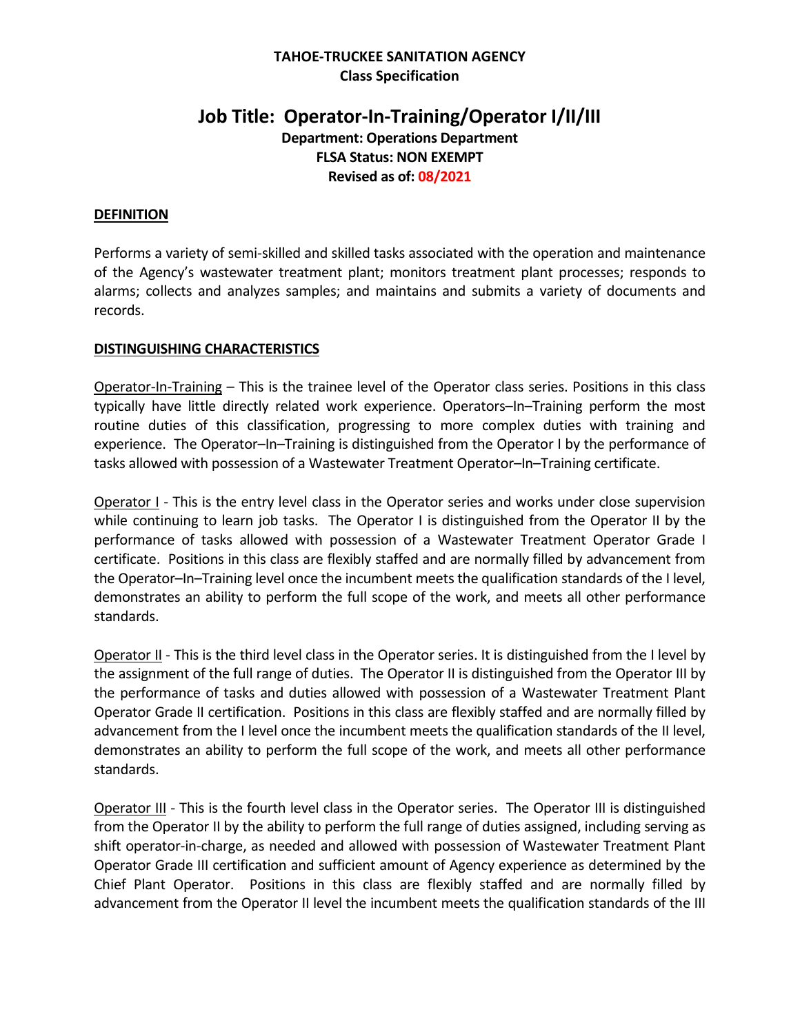## **TAHOE-TRUCKEE SANITATION AGENCY Class Specification**

# **Job Title: Operator-In-Training/Operator I/II/III Department: Operations Department FLSA Status: NON EXEMPT Revised as of: 08/2021**

### **DEFINITION**

Performs a variety of semi-skilled and skilled tasks associated with the operation and maintenance of the Agency's wastewater treatment plant; monitors treatment plant processes; responds to alarms; collects and analyzes samples; and maintains and submits a variety of documents and records.

#### **DISTINGUISHING CHARACTERISTICS**

Operator-In-Training – This is the trainee level of the Operator class series. Positions in this class typically have little directly related work experience. Operators–In–Training perform the most routine duties of this classification, progressing to more complex duties with training and experience. The Operator–In–Training is distinguished from the Operator I by the performance of tasks allowed with possession of a Wastewater Treatment Operator–In–Training certificate.

Operator I - This is the entry level class in the Operator series and works under close supervision while continuing to learn job tasks. The Operator I is distinguished from the Operator II by the performance of tasks allowed with possession of a Wastewater Treatment Operator Grade I certificate. Positions in this class are flexibly staffed and are normally filled by advancement from the Operator–In–Training level once the incumbent meets the qualification standards of the I level, demonstrates an ability to perform the full scope of the work, and meets all other performance standards.

Operator II - This is the third level class in the Operator series. It is distinguished from the I level by the assignment of the full range of duties. The Operator II is distinguished from the Operator III by the performance of tasks and duties allowed with possession of a Wastewater Treatment Plant Operator Grade II certification. Positions in this class are flexibly staffed and are normally filled by advancement from the I level once the incumbent meets the qualification standards of the II level, demonstrates an ability to perform the full scope of the work, and meets all other performance standards.

Operator III - This is the fourth level class in the Operator series. The Operator III is distinguished from the Operator II by the ability to perform the full range of duties assigned, including serving as shift operator-in-charge, as needed and allowed with possession of Wastewater Treatment Plant Operator Grade III certification and sufficient amount of Agency experience as determined by the Chief Plant Operator. Positions in this class are flexibly staffed and are normally filled by advancement from the Operator II level the incumbent meets the qualification standards of the III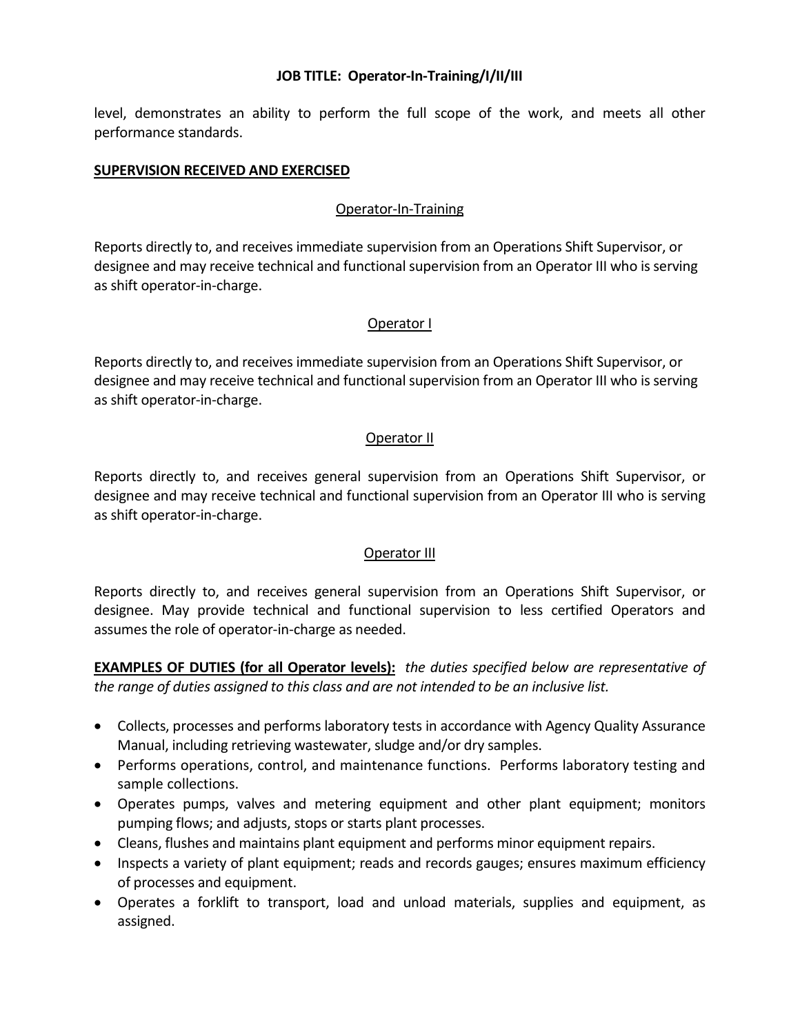level, demonstrates an ability to perform the full scope of the work, and meets all other performance standards.

#### **SUPERVISION RECEIVED AND EXERCISED**

## Operator-In-Training

Reports directly to, and receives immediate supervision from an Operations Shift Supervisor, or designee and may receive technical and functional supervision from an Operator III who is serving as shift operator-in-charge.

### Operator I

Reports directly to, and receives immediate supervision from an Operations Shift Supervisor, or designee and may receive technical and functional supervision from an Operator III who is serving as shift operator-in-charge.

## Operator II

Reports directly to, and receives general supervision from an Operations Shift Supervisor, or designee and may receive technical and functional supervision from an Operator III who is serving as shift operator-in-charge.

## Operator III

Reports directly to, and receives general supervision from an Operations Shift Supervisor, or designee. May provide technical and functional supervision to less certified Operators and assumes the role of operator-in-charge as needed.

**EXAMPLES OF DUTIES (for all Operator levels):** *the duties specified below are representative of the range of duties assigned to this class and are not intended to be an inclusive list.*

- Collects, processes and performs laboratory tests in accordance with Agency Quality Assurance Manual, including retrieving wastewater, sludge and/or dry samples.
- Performs operations, control, and maintenance functions. Performs laboratory testing and sample collections.
- Operates pumps, valves and metering equipment and other plant equipment; monitors pumping flows; and adjusts, stops or starts plant processes.
- Cleans, flushes and maintains plant equipment and performs minor equipment repairs.
- Inspects a variety of plant equipment; reads and records gauges; ensures maximum efficiency of processes and equipment.
- Operates a forklift to transport, load and unload materials, supplies and equipment, as assigned.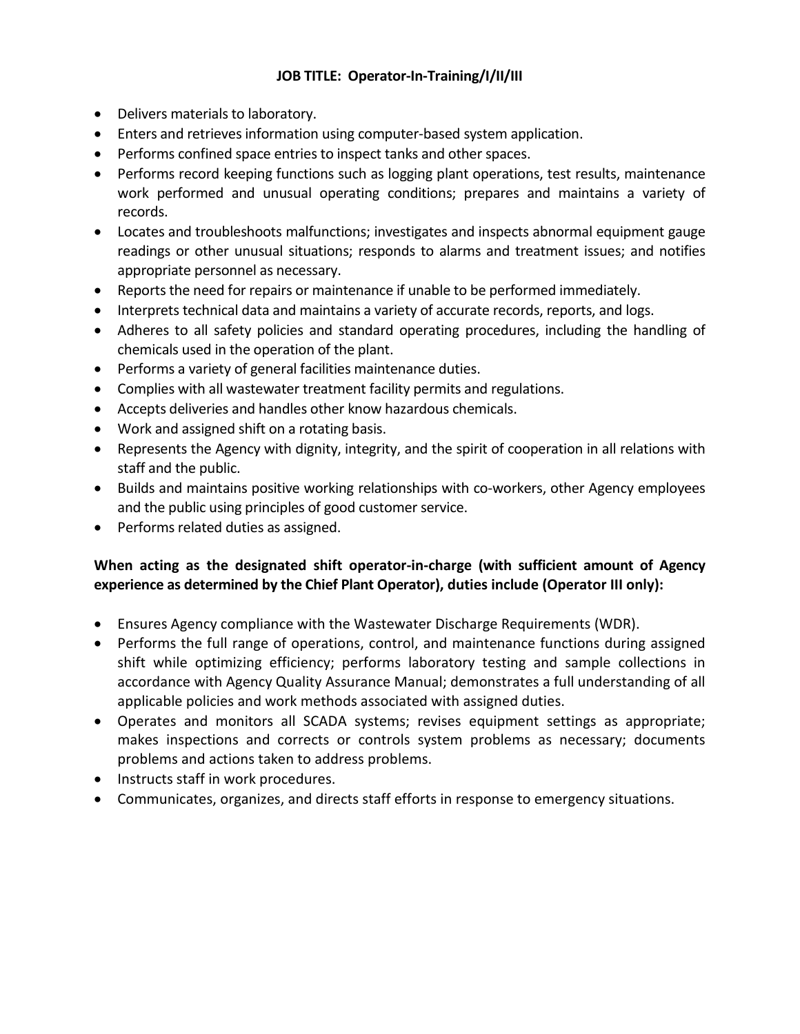- Delivers materials to laboratory.
- Enters and retrieves information using computer-based system application.
- Performs confined space entries to inspect tanks and other spaces.
- Performs record keeping functions such as logging plant operations, test results, maintenance work performed and unusual operating conditions; prepares and maintains a variety of records.
- Locates and troubleshoots malfunctions; investigates and inspects abnormal equipment gauge readings or other unusual situations; responds to alarms and treatment issues; and notifies appropriate personnel as necessary.
- Reports the need for repairs or maintenance if unable to be performed immediately.
- Interprets technical data and maintains a variety of accurate records, reports, and logs.
- Adheres to all safety policies and standard operating procedures, including the handling of chemicals used in the operation of the plant.
- Performs a variety of general facilities maintenance duties.
- Complies with all wastewater treatment facility permits and regulations.
- Accepts deliveries and handles other know hazardous chemicals.
- Work and assigned shift on a rotating basis.
- Represents the Agency with dignity, integrity, and the spirit of cooperation in all relations with staff and the public.
- Builds and maintains positive working relationships with co-workers, other Agency employees and the public using principles of good customer service.
- Performs related duties as assigned.

## **When acting as the designated shift operator-in-charge (with sufficient amount of Agency experience as determined by the Chief Plant Operator), duties include (Operator III only):**

- Ensures Agency compliance with the Wastewater Discharge Requirements (WDR).
- Performs the full range of operations, control, and maintenance functions during assigned shift while optimizing efficiency; performs laboratory testing and sample collections in accordance with Agency Quality Assurance Manual; demonstrates a full understanding of all applicable policies and work methods associated with assigned duties.
- Operates and monitors all SCADA systems; revises equipment settings as appropriate; makes inspections and corrects or controls system problems as necessary; documents problems and actions taken to address problems.
- Instructs staff in work procedures.
- Communicates, organizes, and directs staff efforts in response to emergency situations.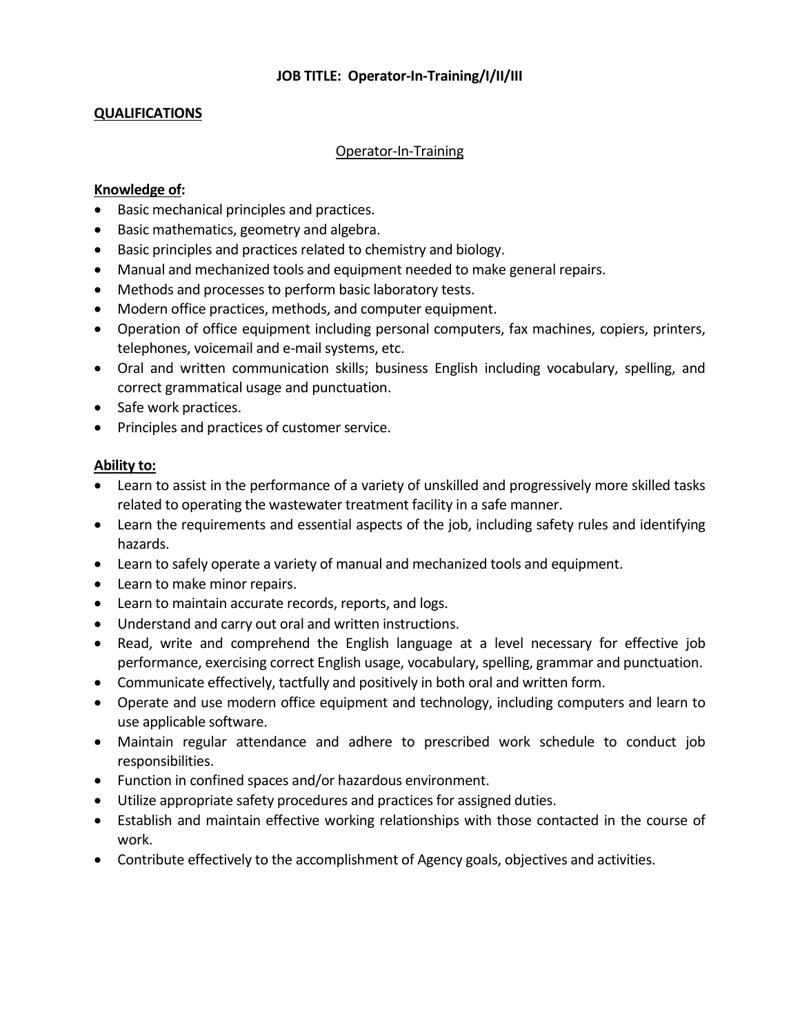## **QUALIFICATIONS**

#### Operator-In-Training

#### **Knowledge of:**

- Basic mechanical principles and practices.
- Basic mathematics, geometry and algebra.
- Basic principles and practices related to chemistry and biology.
- Manual and mechanized tools and equipment needed to make general repairs.
- Methods and processes to perform basic laboratory tests.
- Modern office practices, methods, and computer equipment.
- Operation of office equipment including personal computers, fax machines, copiers, printers, telephones, voicemail and e-mail systems, etc.
- Oral and written communication skills; business English including vocabulary, spelling, and correct grammatical usage and punctuation.
- Safe work practices.
- Principles and practices of customer service.

### **Ability to:**

- Learn to assist in the performance of a variety of unskilled and progressively more skilled tasks related to operating the wastewater treatment facility in a safe manner.
- Learn the requirements and essential aspects of the job, including safety rules and identifying hazards.
- Learn to safely operate a variety of manual and mechanized tools and equipment.
- Learn to make minor repairs.
- Learn to maintain accurate records, reports, and logs.
- Understand and carry out oral and written instructions.
- Read, write and comprehend the English language at a level necessary for effective job performance, exercising correct English usage, vocabulary, spelling, grammar and punctuation.
- Communicate effectively, tactfully and positively in both oral and written form.
- Operate and use modern office equipment and technology, including computers and learn to use applicable software.
- Maintain regular attendance and adhere to prescribed work schedule to conduct job responsibilities.
- Function in confined spaces and/or hazardous environment.
- Utilize appropriate safety procedures and practices for assigned duties.
- Establish and maintain effective working relationships with those contacted in the course of work.
- Contribute effectively to the accomplishment of Agency goals, objectives and activities.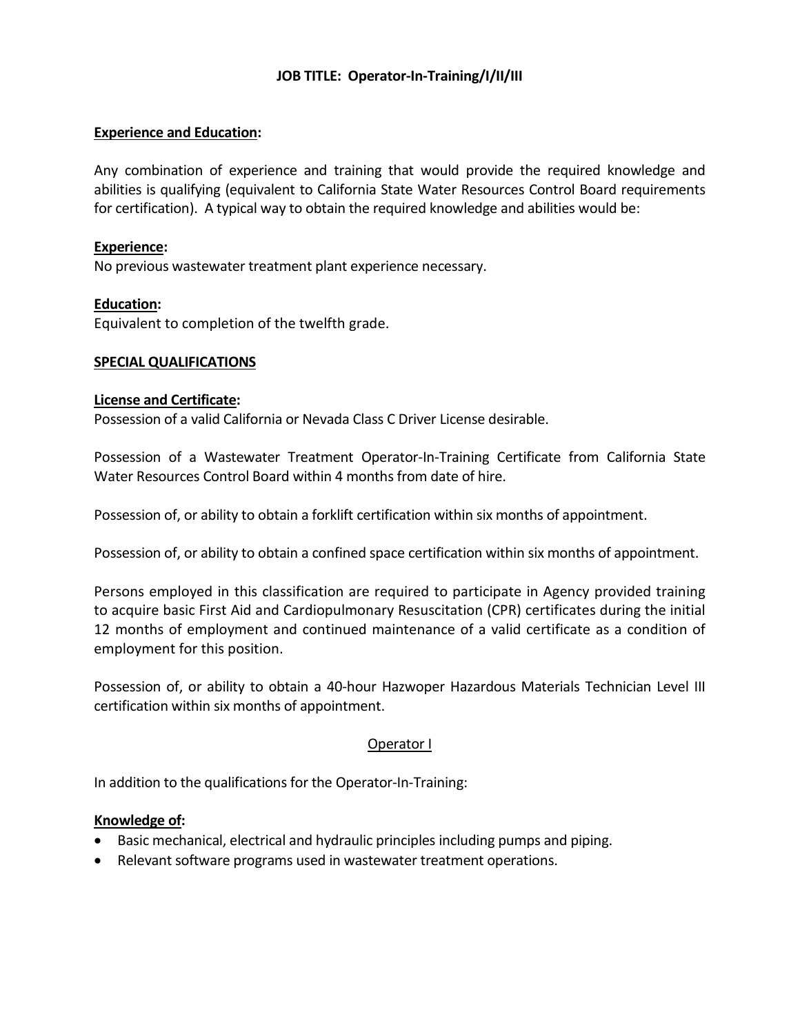#### **Experience and Education:**

Any combination of experience and training that would provide the required knowledge and abilities is qualifying (equivalent to California State Water Resources Control Board requirements for certification). A typical way to obtain the required knowledge and abilities would be:

#### **Experience:**

No previous wastewater treatment plant experience necessary.

#### **Education:**

Equivalent to completion of the twelfth grade.

#### **SPECIAL QUALIFICATIONS**

#### **License and Certificate:**

Possession of a valid California or Nevada Class C Driver License desirable.

Possession of a Wastewater Treatment Operator-In-Training Certificate from California State Water Resources Control Board within 4 months from date of hire.

Possession of, or ability to obtain a forklift certification within six months of appointment.

Possession of, or ability to obtain a confined space certification within six months of appointment.

Persons employed in this classification are required to participate in Agency provided training to acquire basic First Aid and Cardiopulmonary Resuscitation (CPR) certificates during the initial 12 months of employment and continued maintenance of a valid certificate as a condition of employment for this position.

Possession of, or ability to obtain a 40-hour Hazwoper Hazardous Materials Technician Level III certification within six months of appointment.

### Operator I

In addition to the qualifications for the Operator-In-Training:

#### **Knowledge of:**

- Basic mechanical, electrical and hydraulic principles including pumps and piping.
- Relevant software programs used in wastewater treatment operations.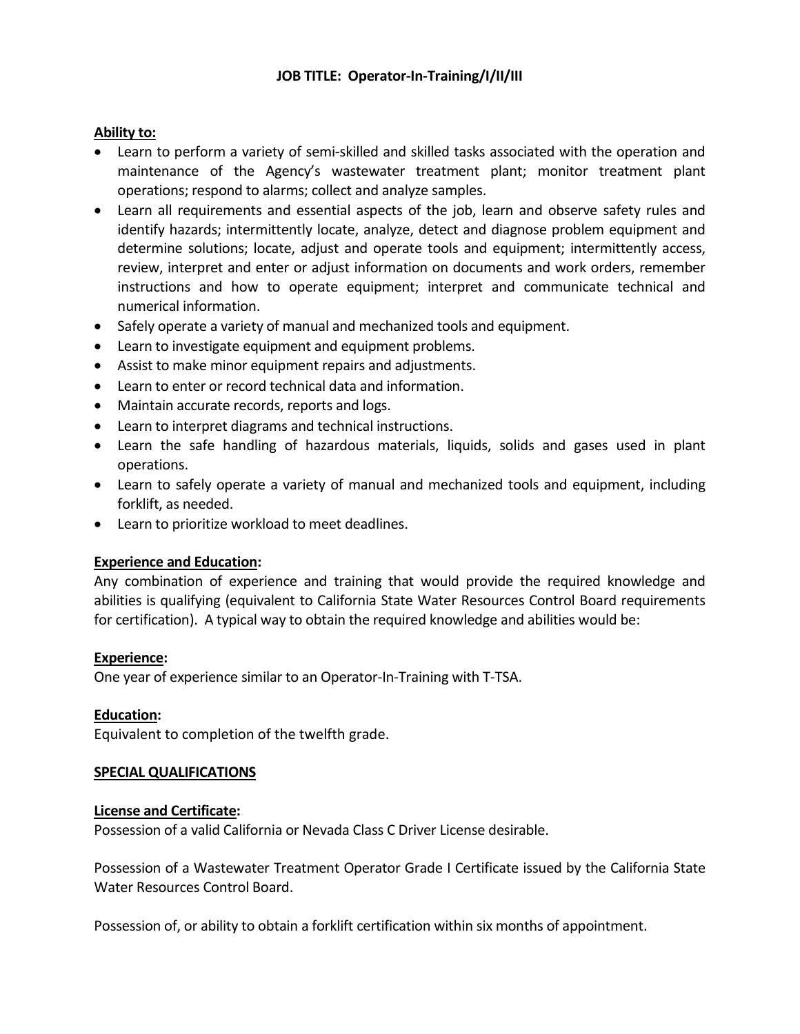## **Ability to:**

- Learn to perform a variety of semi-skilled and skilled tasks associated with the operation and maintenance of the Agency's wastewater treatment plant; monitor treatment plant operations; respond to alarms; collect and analyze samples.
- Learn all requirements and essential aspects of the job, learn and observe safety rules and identify hazards; intermittently locate, analyze, detect and diagnose problem equipment and determine solutions; locate, adjust and operate tools and equipment; intermittently access, review, interpret and enter or adjust information on documents and work orders, remember instructions and how to operate equipment; interpret and communicate technical and numerical information.
- Safely operate a variety of manual and mechanized tools and equipment.
- Learn to investigate equipment and equipment problems.
- Assist to make minor equipment repairs and adjustments.
- Learn to enter or record technical data and information.
- Maintain accurate records, reports and logs.
- Learn to interpret diagrams and technical instructions.
- Learn the safe handling of hazardous materials, liquids, solids and gases used in plant operations.
- Learn to safely operate a variety of manual and mechanized tools and equipment, including forklift, as needed.
- Learn to prioritize workload to meet deadlines.

### **Experience and Education:**

Any combination of experience and training that would provide the required knowledge and abilities is qualifying (equivalent to California State Water Resources Control Board requirements for certification). A typical way to obtain the required knowledge and abilities would be:

#### **Experience:**

One year of experience similar to an Operator-In-Training with T-TSA.

### **Education:**

Equivalent to completion of the twelfth grade.

### **SPECIAL QUALIFICATIONS**

#### **License and Certificate:**

Possession of a valid California or Nevada Class C Driver License desirable.

Possession of a Wastewater Treatment Operator Grade I Certificate issued by the California State Water Resources Control Board.

Possession of, or ability to obtain a forklift certification within six months of appointment.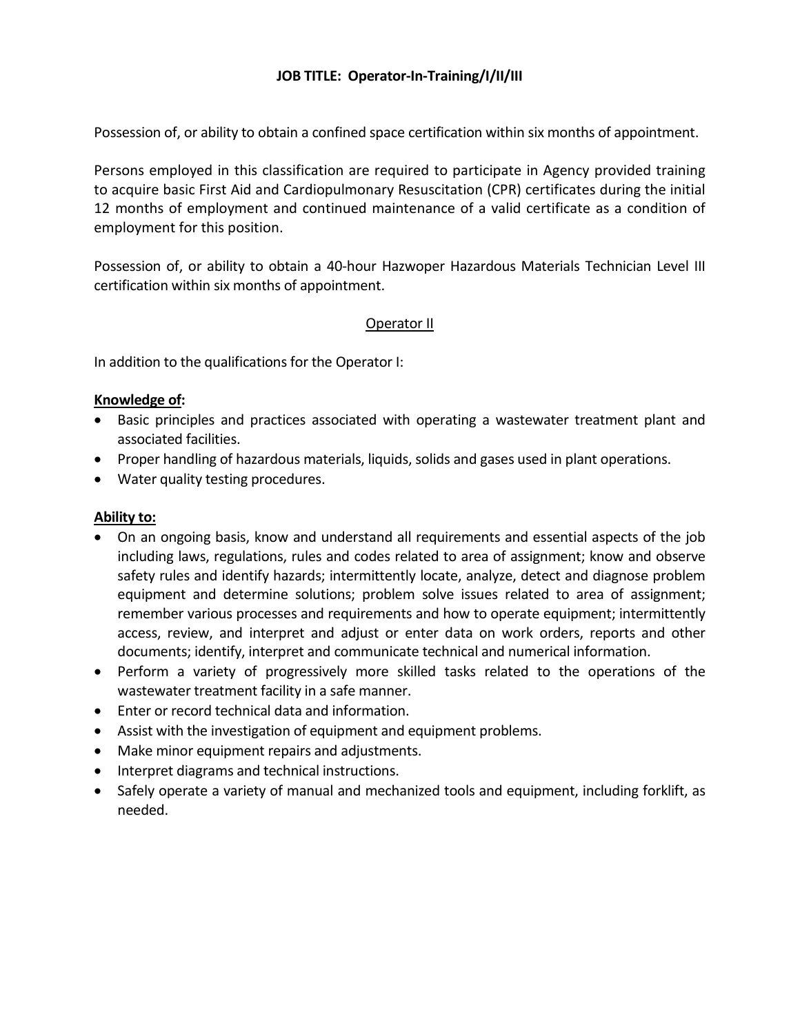Possession of, or ability to obtain a confined space certification within six months of appointment.

Persons employed in this classification are required to participate in Agency provided training to acquire basic First Aid and Cardiopulmonary Resuscitation (CPR) certificates during the initial 12 months of employment and continued maintenance of a valid certificate as a condition of employment for this position.

Possession of, or ability to obtain a 40-hour Hazwoper Hazardous Materials Technician Level III certification within six months of appointment.

### Operator II

In addition to the qualifications for the Operator I:

#### **Knowledge of:**

- Basic principles and practices associated with operating a wastewater treatment plant and associated facilities.
- Proper handling of hazardous materials, liquids, solids and gases used in plant operations.
- Water quality testing procedures.

### **Ability to:**

- On an ongoing basis, know and understand all requirements and essential aspects of the job including laws, regulations, rules and codes related to area of assignment; know and observe safety rules and identify hazards; intermittently locate, analyze, detect and diagnose problem equipment and determine solutions; problem solve issues related to area of assignment; remember various processes and requirements and how to operate equipment; intermittently access, review, and interpret and adjust or enter data on work orders, reports and other documents; identify, interpret and communicate technical and numerical information.
- Perform a variety of progressively more skilled tasks related to the operations of the wastewater treatment facility in a safe manner.
- Enter or record technical data and information.
- Assist with the investigation of equipment and equipment problems.
- Make minor equipment repairs and adjustments.
- Interpret diagrams and technical instructions.
- Safely operate a variety of manual and mechanized tools and equipment, including forklift, as needed.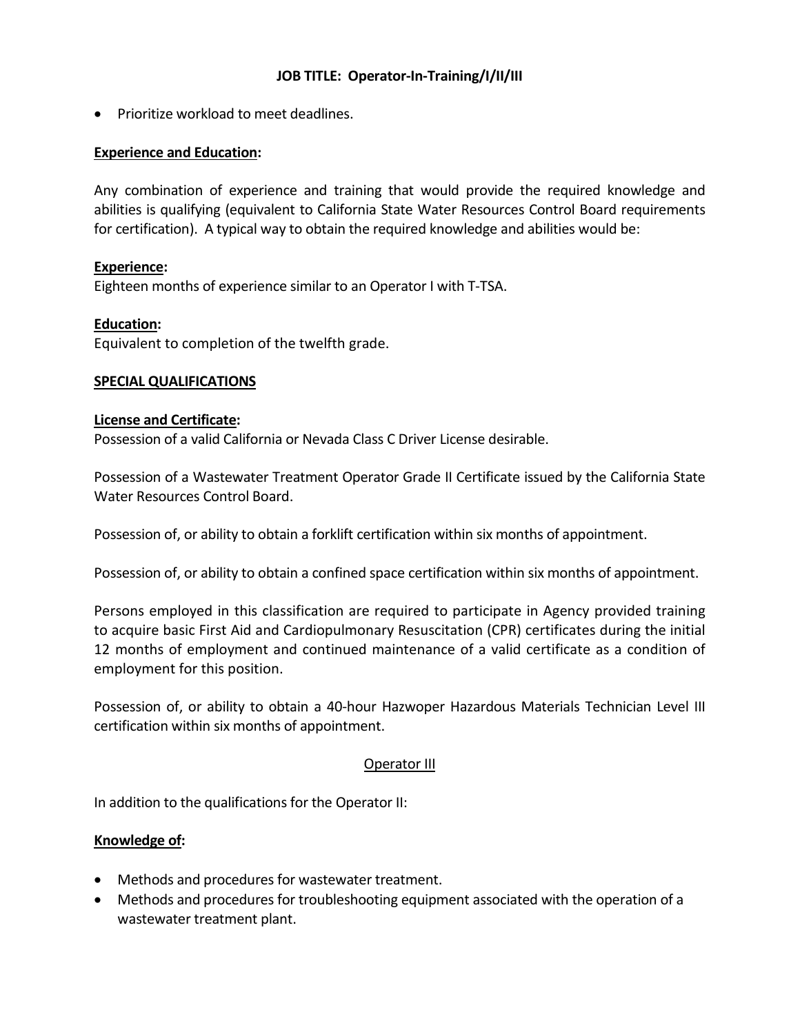• Prioritize workload to meet deadlines.

## **Experience and Education:**

Any combination of experience and training that would provide the required knowledge and abilities is qualifying (equivalent to California State Water Resources Control Board requirements for certification). A typical way to obtain the required knowledge and abilities would be:

### **Experience:**

Eighteen months of experience similar to an Operator I with T-TSA.

### **Education:**

Equivalent to completion of the twelfth grade.

#### **SPECIAL QUALIFICATIONS**

#### **License and Certificate:**

Possession of a valid California or Nevada Class C Driver License desirable.

Possession of a Wastewater Treatment Operator Grade II Certificate issued by the California State Water Resources Control Board.

Possession of, or ability to obtain a forklift certification within six months of appointment.

Possession of, or ability to obtain a confined space certification within six months of appointment.

Persons employed in this classification are required to participate in Agency provided training to acquire basic First Aid and Cardiopulmonary Resuscitation (CPR) certificates during the initial 12 months of employment and continued maintenance of a valid certificate as a condition of employment for this position.

Possession of, or ability to obtain a 40-hour Hazwoper Hazardous Materials Technician Level III certification within six months of appointment.

### Operator III

In addition to the qualifications for the Operator II:

### **Knowledge of:**

- Methods and procedures for wastewater treatment.
- Methods and procedures for troubleshooting equipment associated with the operation of a wastewater treatment plant.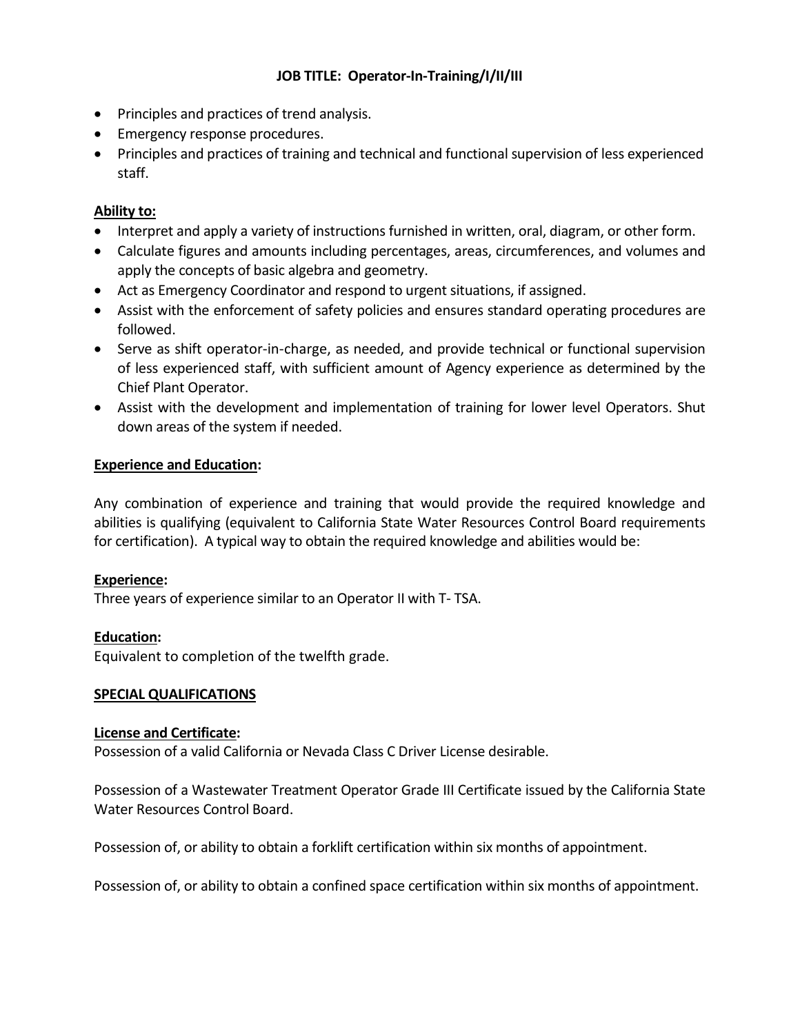- Principles and practices of trend analysis.
- Emergency response procedures.
- Principles and practices of training and technical and functional supervision of less experienced staff.

## **Ability to:**

- Interpret and apply a variety of instructions furnished in written, oral, diagram, or other form.
- Calculate figures and amounts including percentages, areas, circumferences, and volumes and apply the concepts of basic algebra and geometry.
- Act as Emergency Coordinator and respond to urgent situations, if assigned.
- Assist with the enforcement of safety policies and ensures standard operating procedures are followed.
- Serve as shift operator-in-charge, as needed, and provide technical or functional supervision of less experienced staff, with sufficient amount of Agency experience as determined by the Chief Plant Operator.
- Assist with the development and implementation of training for lower level Operators. Shut down areas of the system if needed.

### **Experience and Education:**

Any combination of experience and training that would provide the required knowledge and abilities is qualifying (equivalent to California State Water Resources Control Board requirements for certification). A typical way to obtain the required knowledge and abilities would be:

### **Experience:**

Three years of experience similar to an Operator II with T- TSA.

**Education:**

Equivalent to completion of the twelfth grade.

### **SPECIAL QUALIFICATIONS**

### **License and Certificate:**

Possession of a valid California or Nevada Class C Driver License desirable.

Possession of a Wastewater Treatment Operator Grade III Certificate issued by the California State Water Resources Control Board.

Possession of, or ability to obtain a forklift certification within six months of appointment.

Possession of, or ability to obtain a confined space certification within six months of appointment.